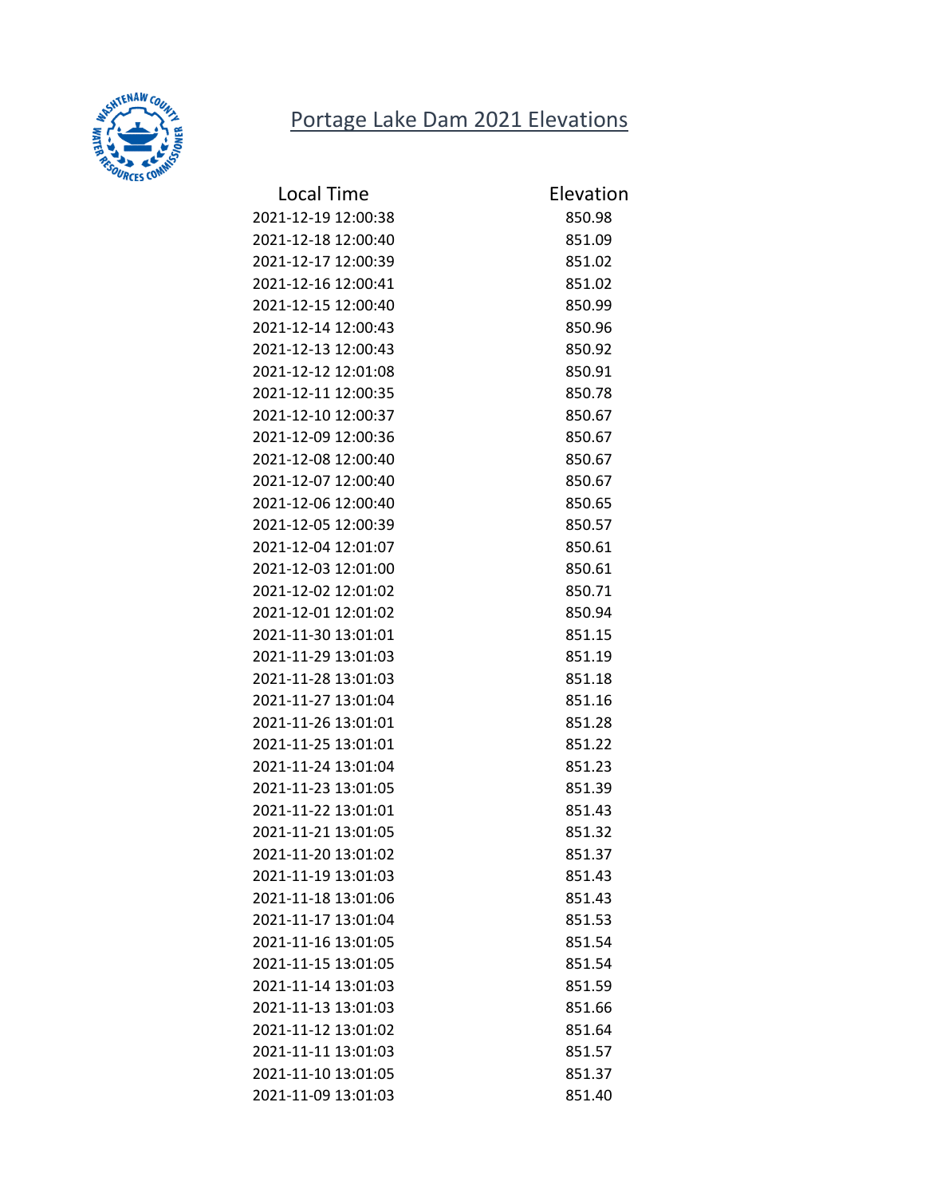## Portage Lake Dam 2021 Elevations



| <b>Local Time</b>   | Elevation |
|---------------------|-----------|
| 2021-12-19 12:00:38 | 850.98    |
| 2021-12-18 12:00:40 | 851.09    |
| 2021-12-17 12:00:39 | 851.02    |
| 2021-12-16 12:00:41 | 851.02    |
| 2021-12-15 12:00:40 | 850.99    |
| 2021-12-14 12:00:43 | 850.96    |
| 2021-12-13 12:00:43 | 850.92    |
| 2021-12-12 12:01:08 | 850.91    |
| 2021-12-11 12:00:35 | 850.78    |
| 2021-12-10 12:00:37 | 850.67    |
| 2021-12-09 12:00:36 | 850.67    |
| 2021-12-08 12:00:40 | 850.67    |
| 2021-12-07 12:00:40 | 850.67    |
| 2021-12-06 12:00:40 | 850.65    |
| 2021-12-05 12:00:39 | 850.57    |
| 2021-12-04 12:01:07 | 850.61    |
| 2021-12-03 12:01:00 | 850.61    |
| 2021-12-02 12:01:02 | 850.71    |
| 2021-12-01 12:01:02 | 850.94    |
| 2021-11-30 13:01:01 | 851.15    |
| 2021-11-29 13:01:03 | 851.19    |
| 2021-11-28 13:01:03 | 851.18    |
| 2021-11-27 13:01:04 | 851.16    |
| 2021-11-26 13:01:01 | 851.28    |
| 2021-11-25 13:01:01 | 851.22    |
| 2021-11-24 13:01:04 | 851.23    |
| 2021-11-23 13:01:05 | 851.39    |
| 2021-11-22 13:01:01 | 851.43    |
| 2021-11-21 13:01:05 | 851.32    |
| 2021-11-20 13:01:02 | 851.37    |
| 2021-11-19 13:01:03 | 851.43    |
| 2021-11-18 13:01:06 | 851.43    |
| 2021-11-17 13:01:04 | 851.53    |
| 2021-11-16 13:01:05 | 851.54    |
| 2021-11-15 13:01:05 | 851.54    |
| 2021-11-14 13:01:03 | 851.59    |
| 2021-11-13 13:01:03 | 851.66    |
| 2021-11-12 13:01:02 | 851.64    |
| 2021-11-11 13:01:03 | 851.57    |
| 2021-11-10 13:01:05 | 851.37    |
| 2021-11-09 13:01:03 | 851.40    |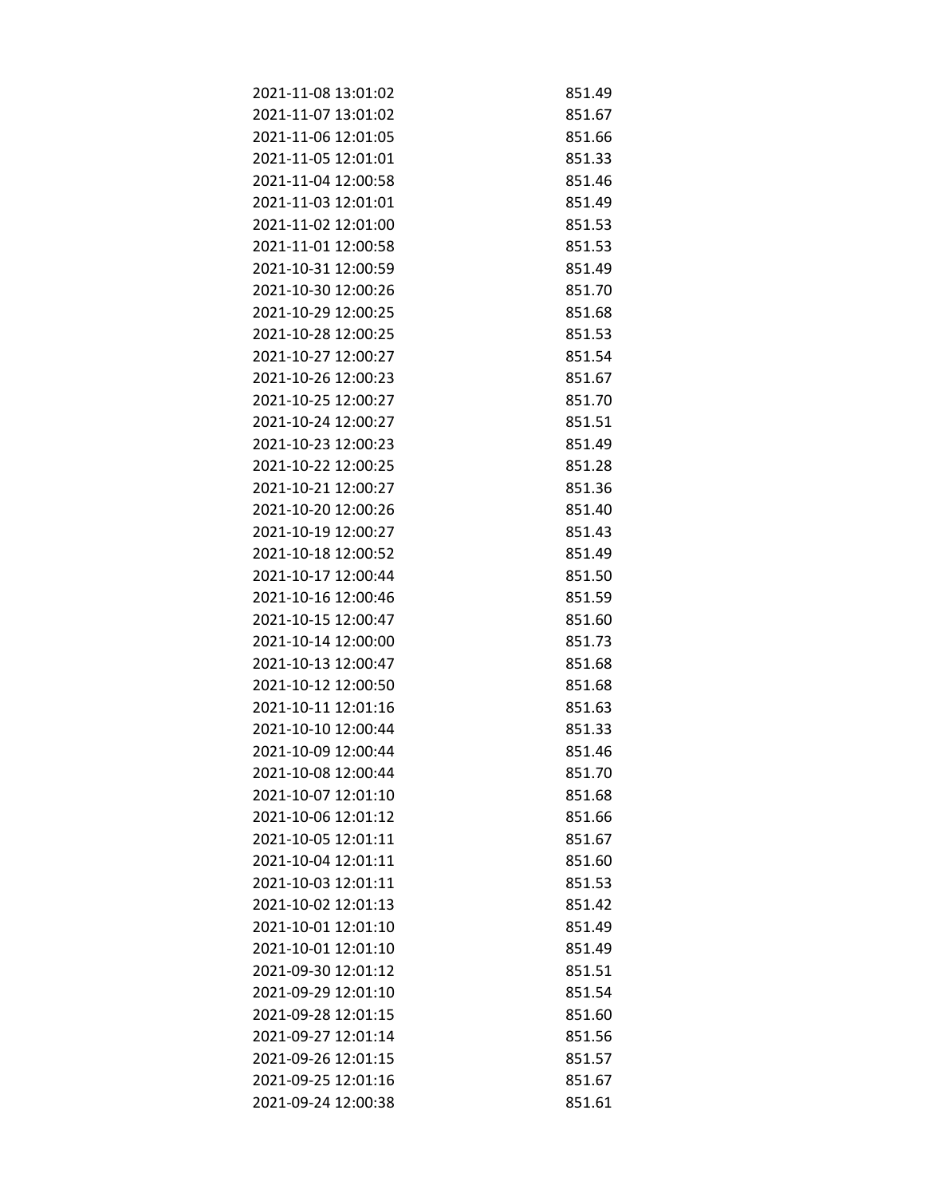| 2021-11-08 13:01:02 | 851.49 |
|---------------------|--------|
| 2021-11-07 13:01:02 | 851.67 |
| 2021-11-06 12:01:05 | 851.66 |
| 2021-11-05 12:01:01 | 851.33 |
| 2021-11-04 12:00:58 | 851.46 |
| 2021-11-03 12:01:01 | 851.49 |
| 2021-11-02 12:01:00 | 851.53 |
| 2021-11-01 12:00:58 | 851.53 |
| 2021-10-31 12:00:59 | 851.49 |
| 2021-10-30 12:00:26 | 851.70 |
| 2021-10-29 12:00:25 | 851.68 |
| 2021-10-28 12:00:25 | 851.53 |
| 2021-10-27 12:00:27 | 851.54 |
| 2021-10-26 12:00:23 | 851.67 |
| 2021-10-25 12:00:27 | 851.70 |
| 2021-10-24 12:00:27 | 851.51 |
| 2021-10-23 12:00:23 | 851.49 |
| 2021-10-22 12:00:25 | 851.28 |
| 2021-10-21 12:00:27 | 851.36 |
| 2021-10-20 12:00:26 | 851.40 |
| 2021-10-19 12:00:27 | 851.43 |
| 2021-10-18 12:00:52 | 851.49 |
| 2021-10-17 12:00:44 | 851.50 |
| 2021-10-16 12:00:46 | 851.59 |
| 2021-10-15 12:00:47 | 851.60 |
| 2021-10-14 12:00:00 | 851.73 |
| 2021-10-13 12:00:47 | 851.68 |
| 2021-10-12 12:00:50 | 851.68 |
| 2021-10-11 12:01:16 | 851.63 |
| 2021-10-10 12:00:44 | 851.33 |
| 2021-10-09 12:00:44 | 851.46 |
| 2021-10-08 12:00:44 | 851.70 |
| 2021-10-07 12:01:10 | 851.68 |
| 2021-10-06 12:01:12 | 851.66 |
| 2021-10-05 12:01:11 | 851.67 |
| 2021-10-04 12:01:11 | 851.60 |
| 2021-10-03 12:01:11 | 851.53 |
| 2021-10-02 12:01:13 | 851.42 |
| 2021-10-01 12:01:10 | 851.49 |
| 2021-10-01 12:01:10 | 851.49 |
| 2021-09-30 12:01:12 | 851.51 |
| 2021-09-29 12:01:10 | 851.54 |
| 2021-09-28 12:01:15 | 851.60 |
| 2021-09-27 12:01:14 | 851.56 |
| 2021-09-26 12:01:15 | 851.57 |
| 2021-09-25 12:01:16 | 851.67 |
| 2021-09-24 12:00:38 | 851.61 |
|                     |        |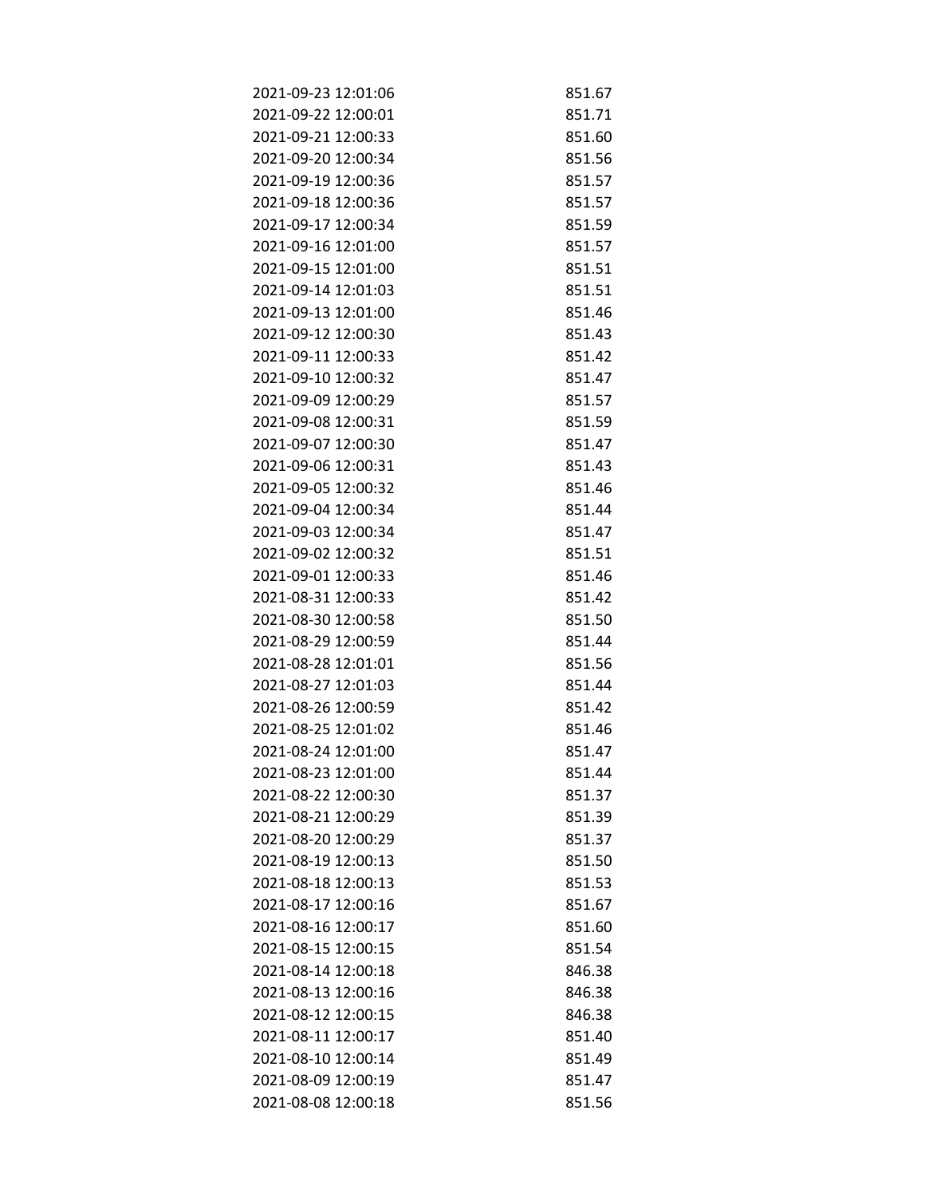| 2021-09-23 12:01:06 | 851.67 |
|---------------------|--------|
| 2021-09-22 12:00:01 | 851.71 |
| 2021-09-21 12:00:33 | 851.60 |
| 2021-09-20 12:00:34 | 851.56 |
| 2021-09-19 12:00:36 | 851.57 |
| 2021-09-18 12:00:36 | 851.57 |
| 2021-09-17 12:00:34 | 851.59 |
| 2021-09-16 12:01:00 | 851.57 |
| 2021-09-15 12:01:00 | 851.51 |
| 2021-09-14 12:01:03 | 851.51 |
| 2021-09-13 12:01:00 | 851.46 |
| 2021-09-12 12:00:30 | 851.43 |
| 2021-09-11 12:00:33 | 851.42 |
| 2021-09-10 12:00:32 | 851.47 |
| 2021-09-09 12:00:29 | 851.57 |
| 2021-09-08 12:00:31 | 851.59 |
| 2021-09-07 12:00:30 | 851.47 |
| 2021-09-06 12:00:31 | 851.43 |
| 2021-09-05 12:00:32 | 851.46 |
| 2021-09-04 12:00:34 | 851.44 |
| 2021-09-03 12:00:34 | 851.47 |
| 2021-09-02 12:00:32 | 851.51 |
| 2021-09-01 12:00:33 | 851.46 |
| 2021-08-31 12:00:33 | 851.42 |
| 2021-08-30 12:00:58 | 851.50 |
| 2021-08-29 12:00:59 | 851.44 |
| 2021-08-28 12:01:01 | 851.56 |
| 2021-08-27 12:01:03 | 851.44 |
| 2021-08-26 12:00:59 | 851.42 |
| 2021-08-25 12:01:02 | 851.46 |
| 2021-08-24 12:01:00 | 851.47 |
| 2021-08-23 12:01:00 | 851.44 |
| 2021-08-22 12:00:30 | 851.37 |
| 2021-08-21 12:00:29 | 851.39 |
| 2021-08-20 12:00:29 | 851.37 |
| 2021-08-19 12:00:13 | 851.50 |
| 2021-08-18 12:00:13 | 851.53 |
| 2021-08-17 12:00:16 | 851.67 |
| 2021-08-16 12:00:17 | 851.60 |
| 2021-08-15 12:00:15 | 851.54 |
| 2021-08-14 12:00:18 | 846.38 |
| 2021-08-13 12:00:16 | 846.38 |
| 2021-08-12 12:00:15 | 846.38 |
| 2021-08-11 12:00:17 | 851.40 |
| 2021-08-10 12:00:14 | 851.49 |
| 2021-08-09 12:00:19 | 851.47 |
| 2021-08-08 12:00:18 | 851.56 |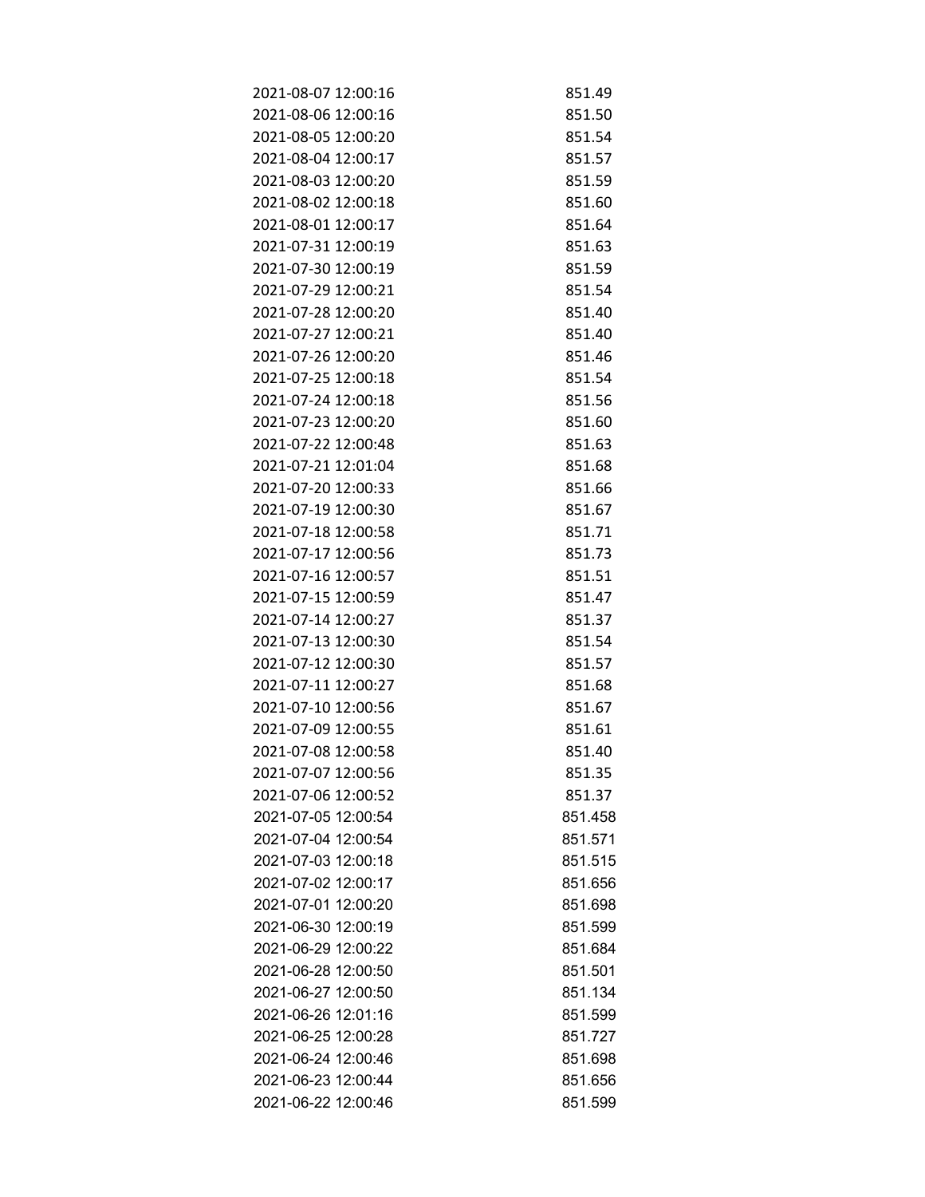| 2021-08-07 12:00:16 | 851.49  |
|---------------------|---------|
| 2021-08-06 12:00:16 | 851.50  |
| 2021-08-05 12:00:20 | 851.54  |
| 2021-08-04 12:00:17 | 851.57  |
| 2021-08-03 12:00:20 | 851.59  |
| 2021-08-02 12:00:18 | 851.60  |
| 2021-08-01 12:00:17 | 851.64  |
| 2021-07-31 12:00:19 | 851.63  |
| 2021-07-30 12:00:19 | 851.59  |
| 2021-07-29 12:00:21 | 851.54  |
| 2021-07-28 12:00:20 | 851.40  |
| 2021-07-27 12:00:21 | 851.40  |
| 2021-07-26 12:00:20 | 851.46  |
| 2021-07-25 12:00:18 | 851.54  |
| 2021-07-24 12:00:18 | 851.56  |
| 2021-07-23 12:00:20 | 851.60  |
| 2021-07-22 12:00:48 | 851.63  |
| 2021-07-21 12:01:04 | 851.68  |
| 2021-07-20 12:00:33 | 851.66  |
| 2021-07-19 12:00:30 | 851.67  |
| 2021-07-18 12:00:58 | 851.71  |
| 2021-07-17 12:00:56 | 851.73  |
| 2021-07-16 12:00:57 | 851.51  |
| 2021-07-15 12:00:59 | 851.47  |
| 2021-07-14 12:00:27 | 851.37  |
| 2021-07-13 12:00:30 | 851.54  |
| 2021-07-12 12:00:30 | 851.57  |
| 2021-07-11 12:00:27 | 851.68  |
| 2021-07-10 12:00:56 | 851.67  |
| 2021-07-09 12:00:55 | 851.61  |
| 2021-07-08 12:00:58 | 851.40  |
| 2021-07-07 12:00:56 | 851.35  |
| 2021-07-06 12:00:52 | 851.37  |
| 2021-07-05 12:00:54 | 851.458 |
| 2021-07-04 12:00:54 | 851.571 |
| 2021-07-03 12:00:18 | 851.515 |
| 2021-07-02 12:00:17 | 851.656 |
| 2021-07-01 12:00:20 | 851.698 |
| 2021-06-30 12:00:19 | 851.599 |
| 2021-06-29 12:00:22 | 851.684 |
| 2021-06-28 12:00:50 | 851.501 |
| 2021-06-27 12:00:50 | 851.134 |
| 2021-06-26 12:01:16 | 851.599 |
| 2021-06-25 12:00:28 | 851.727 |
| 2021-06-24 12:00:46 | 851.698 |
| 2021-06-23 12:00:44 | 851.656 |
| 2021-06-22 12:00:46 | 851.599 |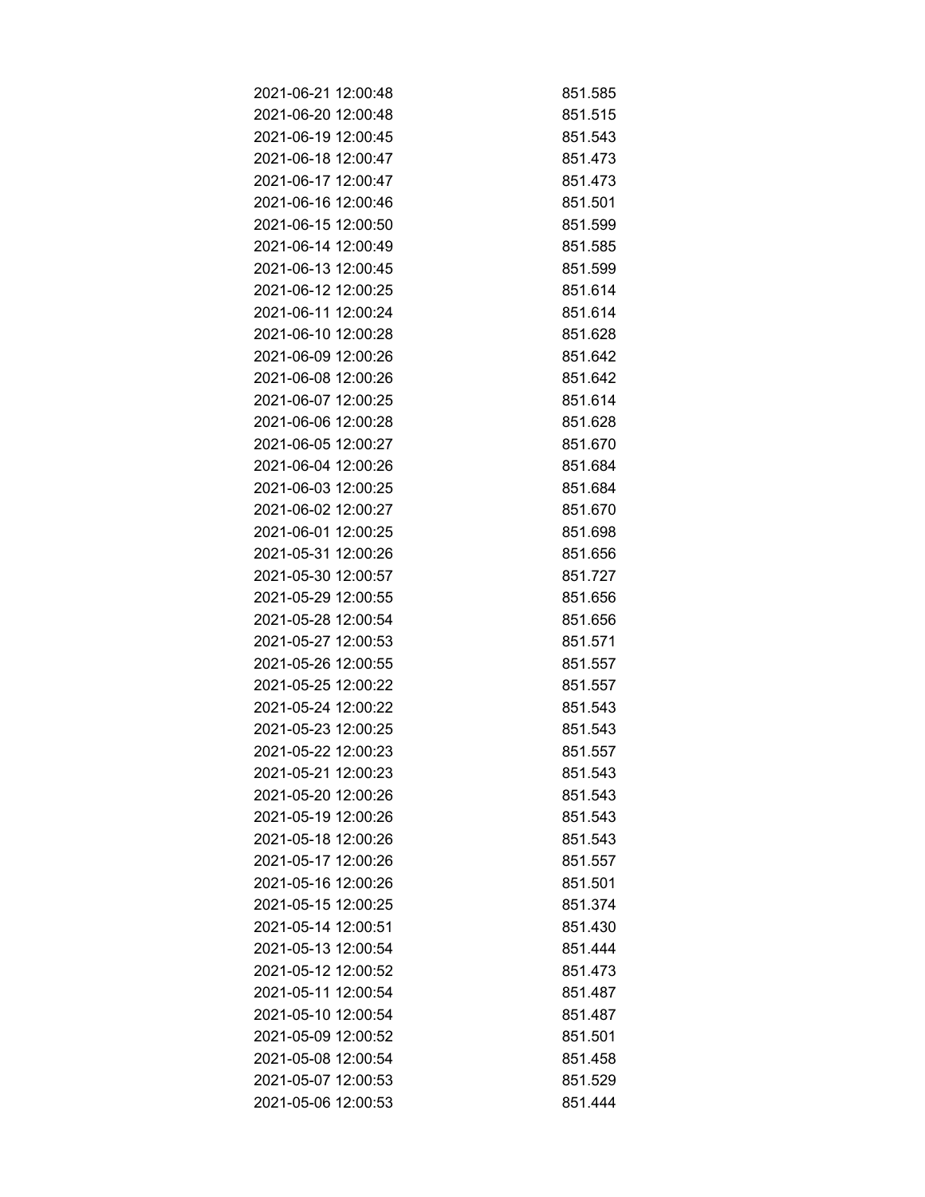| 2021-06-21 12:00:48 | 851.585 |
|---------------------|---------|
| 2021-06-20 12:00:48 | 851.515 |
| 2021-06-19 12:00:45 | 851.543 |
| 2021-06-18 12:00:47 | 851.473 |
| 2021-06-17 12:00:47 | 851.473 |
| 2021-06-16 12:00:46 | 851.501 |
| 2021-06-15 12:00:50 | 851.599 |
| 2021-06-14 12:00:49 | 851.585 |
| 2021-06-13 12:00:45 | 851.599 |
| 2021-06-12 12:00:25 | 851.614 |
| 2021-06-11 12:00:24 | 851.614 |
| 2021-06-10 12:00:28 | 851.628 |
| 2021-06-09 12:00:26 | 851.642 |
| 2021-06-08 12:00:26 | 851.642 |
| 2021-06-07 12:00:25 | 851.614 |
| 2021-06-06 12:00:28 | 851.628 |
| 2021-06-05 12:00:27 | 851.670 |
| 2021-06-04 12:00:26 | 851.684 |
| 2021-06-03 12:00:25 | 851.684 |
| 2021-06-02 12:00:27 | 851.670 |
| 2021-06-01 12:00:25 | 851.698 |
| 2021-05-31 12:00:26 | 851.656 |
| 2021-05-30 12:00:57 | 851.727 |
| 2021-05-29 12:00:55 | 851.656 |
| 2021-05-28 12:00:54 | 851.656 |
| 2021-05-27 12:00:53 | 851.571 |
| 2021-05-26 12:00:55 | 851.557 |
| 2021-05-25 12:00:22 | 851.557 |
| 2021-05-24 12:00:22 | 851.543 |
| 2021-05-23 12:00:25 | 851.543 |
| 2021-05-22 12:00:23 | 851.557 |
| 2021-05-21 12:00:23 | 851.543 |
| 2021-05-20 12:00:26 | 851.543 |
| 2021-05-19 12:00:26 | 851.543 |
| 2021-05-18 12:00:26 | 851.543 |
| 2021-05-17 12:00:26 | 851.557 |
| 2021-05-16 12:00:26 | 851.501 |
| 2021-05-15 12:00:25 | 851.374 |
| 2021-05-14 12:00:51 | 851.430 |
| 2021-05-13 12:00:54 | 851.444 |
| 2021-05-12 12:00:52 | 851.473 |
| 2021-05-11 12:00:54 | 851.487 |
| 2021-05-10 12:00:54 | 851.487 |
| 2021-05-09 12:00:52 | 851.501 |
| 2021-05-08 12:00:54 | 851.458 |
| 2021-05-07 12:00:53 | 851.529 |
| 2021-05-06 12:00:53 | 851.444 |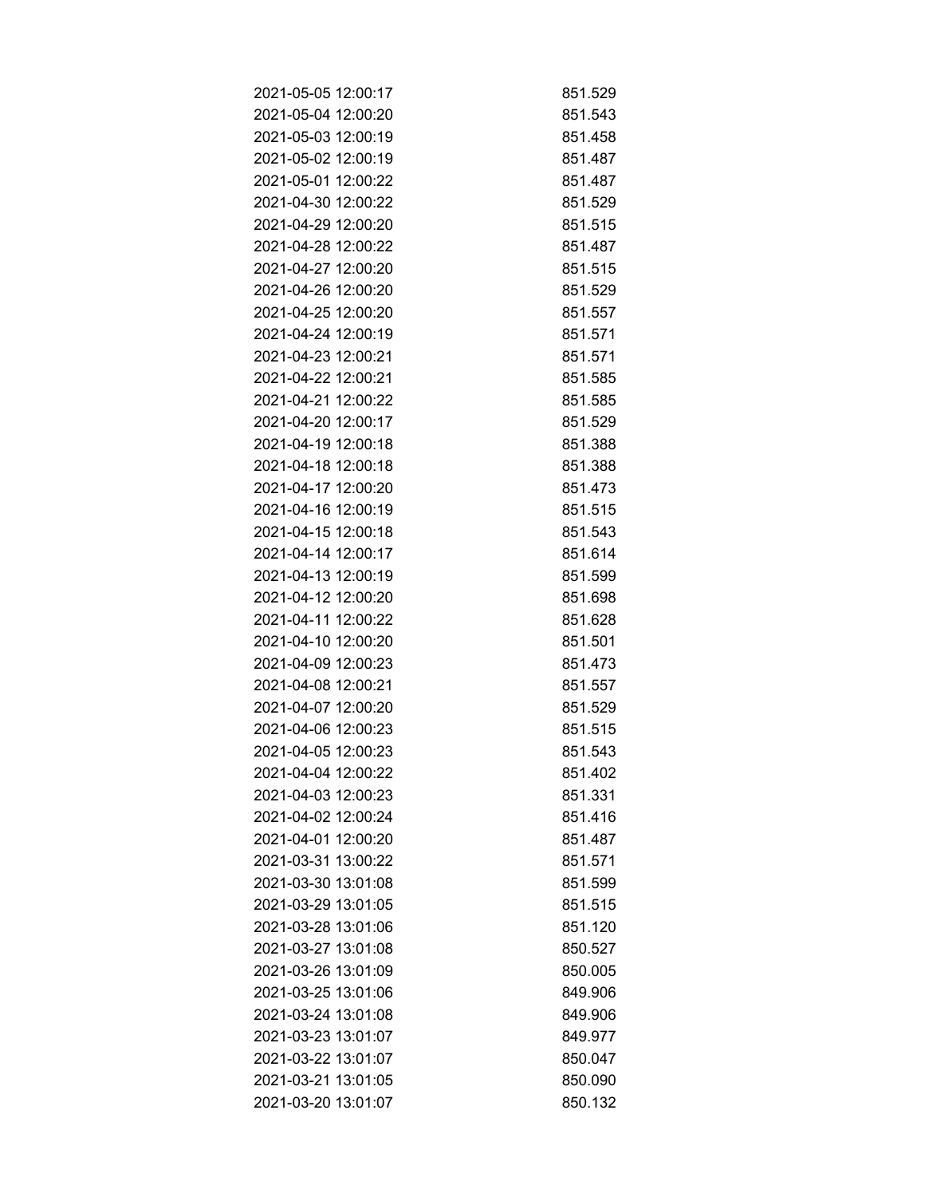| 2021-05-05 12:00:17 | 851.529 |
|---------------------|---------|
| 2021-05-04 12:00:20 | 851.543 |
| 2021-05-03 12:00:19 | 851.458 |
| 2021-05-02 12:00:19 | 851.487 |
| 2021-05-01 12:00:22 | 851.487 |
| 2021-04-30 12:00:22 | 851.529 |
| 2021-04-29 12:00:20 | 851.515 |
| 2021-04-28 12:00:22 | 851.487 |
| 2021-04-27 12:00:20 | 851.515 |
| 2021-04-26 12:00:20 | 851.529 |
| 2021-04-25 12:00:20 | 851.557 |
| 2021-04-24 12:00:19 | 851.571 |
| 2021-04-23 12:00:21 | 851.571 |
| 2021-04-22 12:00:21 | 851.585 |
| 2021-04-21 12:00:22 | 851.585 |
| 2021-04-20 12:00:17 | 851.529 |
| 2021-04-19 12:00:18 | 851.388 |
| 2021-04-18 12:00:18 | 851.388 |
| 2021-04-17 12:00:20 | 851.473 |
| 2021-04-16 12:00:19 | 851.515 |
| 2021-04-15 12:00:18 | 851.543 |
| 2021-04-14 12:00:17 | 851.614 |
| 2021-04-13 12:00:19 | 851.599 |
| 2021-04-12 12:00:20 | 851.698 |
| 2021-04-11 12:00:22 | 851.628 |
| 2021-04-10 12:00:20 | 851.501 |
| 2021-04-09 12:00:23 | 851.473 |
| 2021-04-08 12:00:21 | 851.557 |
| 2021-04-07 12:00:20 | 851.529 |
| 2021-04-06 12:00:23 | 851.515 |
| 2021-04-05 12:00:23 | 851.543 |
| 2021-04-04 12:00:22 | 851.402 |
| 2021-04-03 12:00:23 | 851.331 |
| 2021-04-02 12:00:24 | 851.416 |
| 2021-04-01 12:00:20 | 851.487 |
| 2021-03-31 13:00:22 | 851.571 |
| 2021-03-30 13:01:08 | 851.599 |
| 2021-03-29 13:01:05 | 851.515 |
| 2021-03-28 13:01:06 | 851.120 |
| 2021-03-27 13:01:08 | 850.527 |
| 2021-03-26 13:01:09 | 850.005 |
| 2021-03-25 13:01:06 | 849.906 |
| 2021-03-24 13:01:08 | 849.906 |
| 2021-03-23 13:01:07 | 849.977 |
| 2021-03-22 13:01:07 | 850.047 |
| 2021-03-21 13:01:05 | 850.090 |
| 2021-03-20 13:01:07 | 850.132 |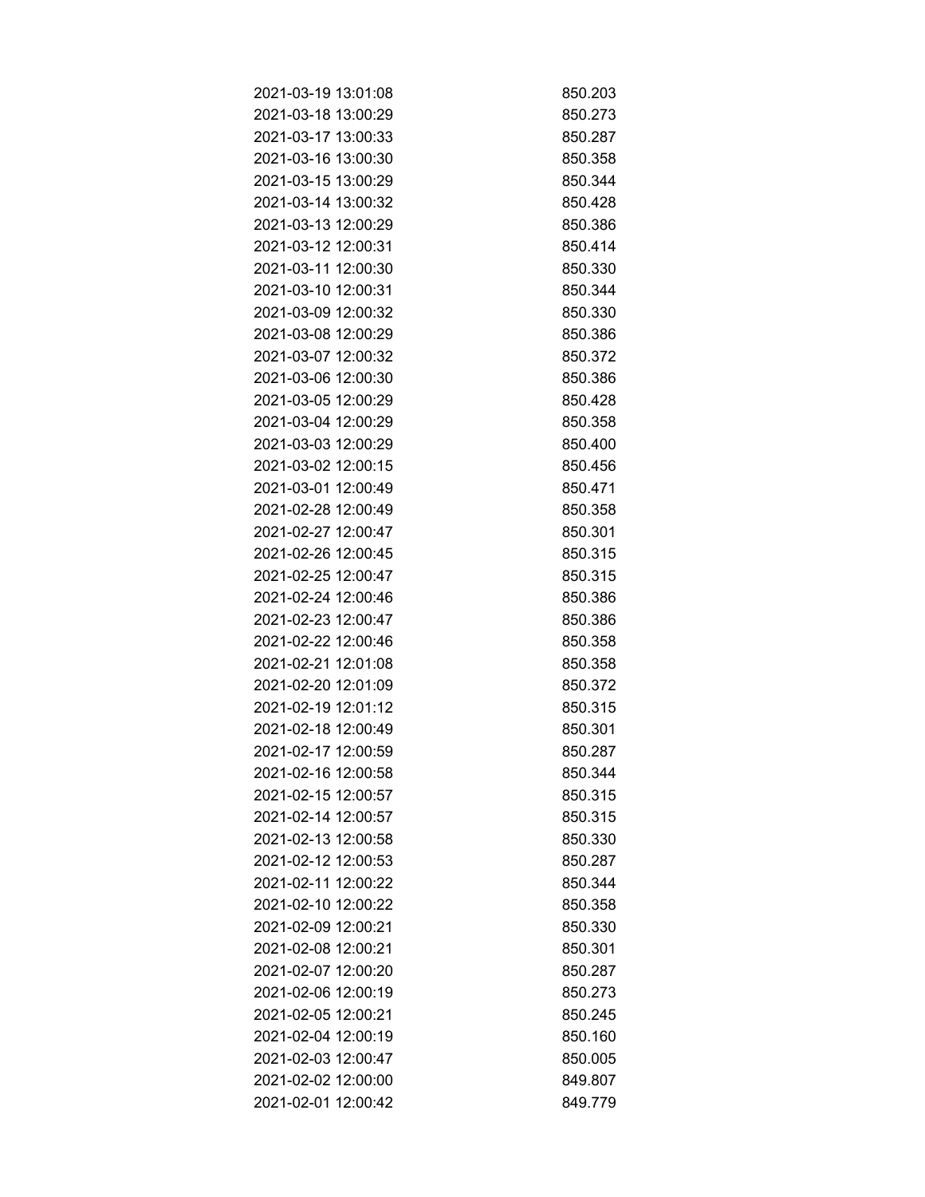| 2021-03-19 13:01:08 | 850.203 |
|---------------------|---------|
| 2021-03-18 13:00:29 | 850.273 |
| 2021-03-17 13:00:33 | 850.287 |
| 2021-03-16 13:00:30 | 850.358 |
| 2021-03-15 13:00:29 | 850.344 |
| 2021-03-14 13:00:32 | 850.428 |
| 2021-03-13 12:00:29 | 850.386 |
| 2021-03-12 12:00:31 | 850.414 |
| 2021-03-11 12:00:30 | 850.330 |
| 2021-03-10 12:00:31 | 850.344 |
| 2021-03-09 12:00:32 | 850.330 |
| 2021-03-08 12:00:29 | 850.386 |
| 2021-03-07 12:00:32 | 850.372 |
| 2021-03-06 12:00:30 | 850.386 |
| 2021-03-05 12:00:29 | 850.428 |
| 2021-03-04 12:00:29 | 850.358 |
| 2021-03-03 12:00:29 | 850.400 |
| 2021-03-02 12:00:15 | 850.456 |
| 2021-03-01 12:00:49 | 850.471 |
| 2021-02-28 12:00:49 | 850.358 |
| 2021-02-27 12:00:47 | 850.301 |
| 2021-02-26 12:00:45 | 850.315 |
| 2021-02-25 12:00:47 | 850.315 |
| 2021-02-24 12:00:46 | 850.386 |
| 2021-02-23 12:00:47 | 850.386 |
| 2021-02-22 12:00:46 | 850.358 |
| 2021-02-21 12:01:08 | 850.358 |
| 2021-02-20 12:01:09 | 850.372 |
| 2021-02-19 12:01:12 | 850.315 |
| 2021-02-18 12:00:49 | 850.301 |
| 2021-02-17 12:00:59 | 850.287 |
| 2021-02-16 12:00:58 | 850.344 |
| 2021-02-15 12:00:57 | 850.315 |
| 2021-02-14 12:00:57 | 850.315 |
| 2021-02-13 12:00:58 | 850.330 |
| 2021-02-12 12:00:53 | 850.287 |
| 2021-02-11 12:00:22 | 850.344 |
| 2021-02-10 12:00:22 | 850.358 |
| 2021-02-09 12:00:21 | 850.330 |
| 2021-02-08 12:00:21 | 850.301 |
| 2021-02-07 12:00:20 | 850.287 |
| 2021-02-06 12:00:19 | 850.273 |
| 2021-02-05 12:00:21 | 850.245 |
| 2021-02-04 12:00:19 | 850.160 |
| 2021-02-03 12:00:47 | 850.005 |
| 2021-02-02 12:00:00 | 849.807 |
| 2021-02-01 12:00:42 | 849.779 |